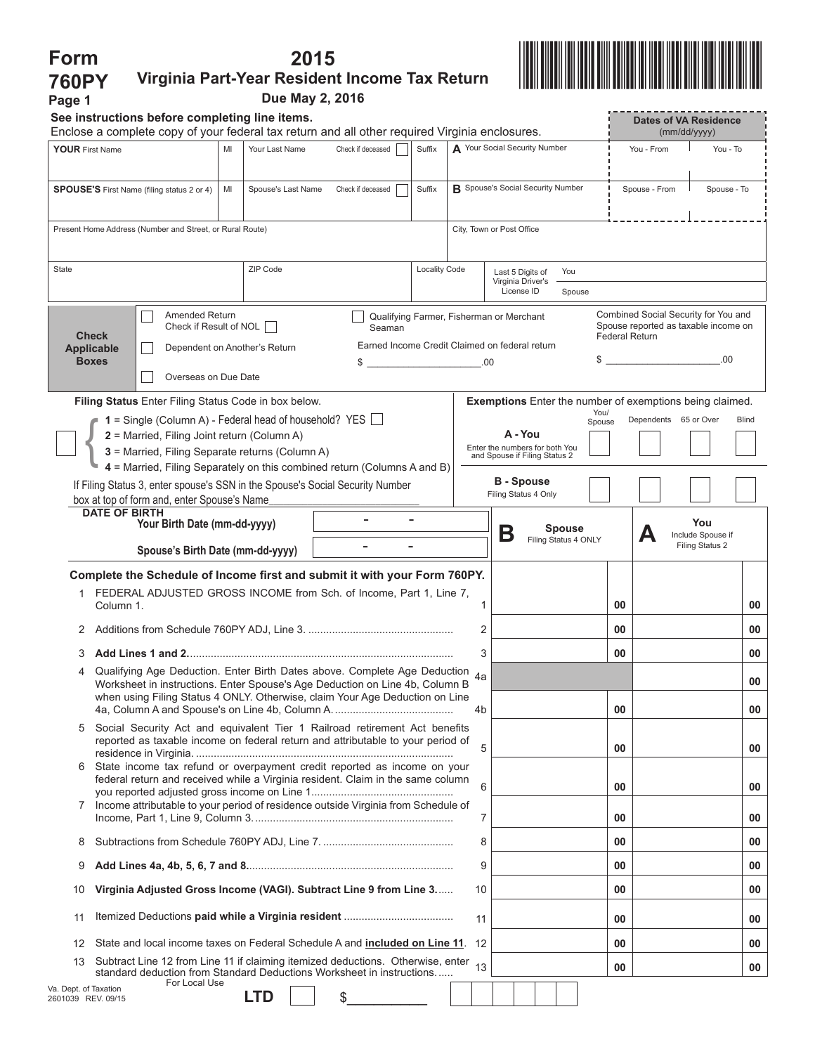| Form                                                                                                                                                                                                                                                                                                                            |                                                                                                                                                                                                                                              |            | 2015 |                                                              |               |                           |                                          |                                       |               |                |          |               |                                                                 |              |  |
|---------------------------------------------------------------------------------------------------------------------------------------------------------------------------------------------------------------------------------------------------------------------------------------------------------------------------------|----------------------------------------------------------------------------------------------------------------------------------------------------------------------------------------------------------------------------------------------|------------|------|--------------------------------------------------------------|---------------|---------------------------|------------------------------------------|---------------------------------------|---------------|----------------|----------|---------------|-----------------------------------------------------------------|--------------|--|
| Virginia Part-Year Resident Income Tax Return<br><b>760PY</b><br>Due May 2, 2016                                                                                                                                                                                                                                                |                                                                                                                                                                                                                                              |            |      |                                                              |               |                           |                                          |                                       |               |                |          |               |                                                                 |              |  |
| Page 1                                                                                                                                                                                                                                                                                                                          | See instructions before completing line items.                                                                                                                                                                                               |            |      |                                                              |               |                           |                                          |                                       |               |                |          |               |                                                                 |              |  |
|                                                                                                                                                                                                                                                                                                                                 | Enclose a complete copy of your federal tax return and all other required Virginia enclosures.                                                                                                                                               |            |      |                                                              |               |                           |                                          |                                       |               |                |          |               | <b>Dates of VA Residence</b><br>(mm/dd/yyyy)                    |              |  |
| <b>YOUR First Name</b><br>MI<br>Your Last Name                                                                                                                                                                                                                                                                                  |                                                                                                                                                                                                                                              |            |      | A Your Social Security Number<br>Suffix<br>Check if deceased |               |                           |                                          |                                       |               |                |          | You - From    |                                                                 | You - To     |  |
| <b>SPOUSE'S</b> First Name (filing status 2 or 4)<br>MI<br>Spouse's Last Name                                                                                                                                                                                                                                                   |                                                                                                                                                                                                                                              |            |      | Check if deceased                                            | Suffix        |                           | <b>B</b> Spouse's Social Security Number |                                       |               |                |          | Spouse - From |                                                                 | Spouse - To  |  |
| Present Home Address (Number and Street, or Rural Route)                                                                                                                                                                                                                                                                        |                                                                                                                                                                                                                                              |            |      |                                                              |               | City, Town or Post Office |                                          |                                       |               |                |          |               |                                                                 |              |  |
| State                                                                                                                                                                                                                                                                                                                           |                                                                                                                                                                                                                                              | ZIP Code   |      |                                                              | Locality Code |                           |                                          | Last 5 Digits of<br>Virginia Driver's | You           |                |          |               |                                                                 |              |  |
|                                                                                                                                                                                                                                                                                                                                 |                                                                                                                                                                                                                                              |            |      |                                                              |               |                           |                                          | License ID                            | Spouse        |                |          |               |                                                                 |              |  |
| Combined Social Security for You and<br><b>Amended Return</b><br>Qualifying Farmer, Fisherman or Merchant<br>Spouse reported as taxable income on<br>Check if Result of NOL<br>Seaman<br><b>Check</b><br><b>Federal Return</b><br>Earned Income Credit Claimed on federal return<br>Applicable<br>Dependent on Another's Return |                                                                                                                                                                                                                                              |            |      |                                                              |               |                           |                                          |                                       |               |                |          |               |                                                                 |              |  |
| $\sim$ 00.<br>\$<br><b>Boxes</b><br>$\frac{1}{2}$<br>.00<br>Overseas on Due Date                                                                                                                                                                                                                                                |                                                                                                                                                                                                                                              |            |      |                                                              |               |                           |                                          |                                       |               |                |          |               |                                                                 |              |  |
|                                                                                                                                                                                                                                                                                                                                 | Filing Status Enter Filing Status Code in box below.                                                                                                                                                                                         |            |      |                                                              |               |                           |                                          |                                       |               |                |          |               | <b>Exemptions</b> Enter the number of exemptions being claimed. |              |  |
|                                                                                                                                                                                                                                                                                                                                 | $1 =$ Single (Column A) - Federal head of household? YES $\Box$<br>2 = Married, Filing Joint return (Column A)                                                                                                                               |            |      |                                                              |               |                           |                                          | A - You                               |               | You/<br>Spouse |          |               | Dependents 65 or Over                                           | <b>Blind</b> |  |
| Enter the numbers for both You<br>3 = Married, Filing Separate returns (Column A)<br>and Spouse if Filing Status 2<br>4 = Married, Filing Separately on this combined return (Columns A and B)                                                                                                                                  |                                                                                                                                                                                                                                              |            |      |                                                              |               |                           |                                          |                                       |               |                |          |               |                                                                 |              |  |
| <b>B</b> - Spouse<br>If Filing Status 3, enter spouse's SSN in the Spouse's Social Security Number<br>Filing Status 4 Only<br>box at top of form and, enter Spouse's Name                                                                                                                                                       |                                                                                                                                                                                                                                              |            |      |                                                              |               |                           |                                          |                                       |               |                |          |               |                                                                 |              |  |
|                                                                                                                                                                                                                                                                                                                                 | <b>DATE OF BIRTH</b><br>Your Birth Date (mm-dd-yyyy)                                                                                                                                                                                         |            |      |                                                              |               |                           |                                          |                                       | <b>Spouse</b> |                |          |               | You                                                             |              |  |
| Spouse's Birth Date (mm-dd-yyyy)                                                                                                                                                                                                                                                                                                |                                                                                                                                                                                                                                              |            |      |                                                              |               |                           | Β<br>Filing Status 4 ONLY                |                                       |               |                |          | A             | Include Spouse if<br>Filing Status 2                            |              |  |
| Complete the Schedule of Income first and submit it with your Form 760PY.                                                                                                                                                                                                                                                       |                                                                                                                                                                                                                                              |            |      |                                                              |               |                           |                                          |                                       |               |                |          |               |                                                                 |              |  |
| 1.                                                                                                                                                                                                                                                                                                                              | FEDERAL ADJUSTED GROSS INCOME from Sch. of Income, Part 1, Line 7,<br>Column 1.                                                                                                                                                              |            |      |                                                              |               | 1                         |                                          |                                       |               |                | 00       |               |                                                                 | 00           |  |
|                                                                                                                                                                                                                                                                                                                                 |                                                                                                                                                                                                                                              |            |      |                                                              |               | 2                         |                                          |                                       |               |                | 00       |               |                                                                 | 00           |  |
| 3                                                                                                                                                                                                                                                                                                                               |                                                                                                                                                                                                                                              |            |      |                                                              |               | 3                         |                                          |                                       |               |                | 00       |               |                                                                 | 00           |  |
| $\overline{4}$                                                                                                                                                                                                                                                                                                                  | Qualifying Age Deduction. Enter Birth Dates above. Complete Age Deduction 4a<br>Worksheet in instructions. Enter Spouse's Age Deduction on Line 4b, Column B<br>when using Filing Status 4 ONLY. Otherwise, claim Your Age Deduction on Line |            |      |                                                              |               | 4b                        |                                          |                                       |               |                | 00       |               |                                                                 | 00<br>00     |  |
| 5                                                                                                                                                                                                                                                                                                                               | Social Security Act and equivalent Tier 1 Railroad retirement Act benefits<br>reported as taxable income on federal return and attributable to your period of                                                                                |            |      |                                                              |               | 5                         |                                          |                                       |               |                | 00       |               |                                                                 |              |  |
| 6                                                                                                                                                                                                                                                                                                                               | State income tax refund or overpayment credit reported as income on your<br>federal return and received while a Virginia resident. Claim in the same column                                                                                  |            |      |                                                              |               |                           |                                          |                                       |               |                |          |               |                                                                 | 00           |  |
|                                                                                                                                                                                                                                                                                                                                 | 7 Income attributable to your period of residence outside Virginia from Schedule of                                                                                                                                                          |            |      |                                                              |               | 6<br>7                    |                                          |                                       |               |                | 00<br>00 |               |                                                                 | 00<br>00     |  |
| 8                                                                                                                                                                                                                                                                                                                               |                                                                                                                                                                                                                                              |            |      |                                                              |               | 8                         |                                          |                                       |               |                | 00       |               |                                                                 | 00           |  |
| 9                                                                                                                                                                                                                                                                                                                               |                                                                                                                                                                                                                                              |            |      |                                                              |               | 9                         |                                          |                                       |               |                | 00       |               |                                                                 | 00           |  |
| 10                                                                                                                                                                                                                                                                                                                              | Virginia Adjusted Gross Income (VAGI). Subtract Line 9 from Line 3                                                                                                                                                                           |            |      |                                                              |               | 10                        |                                          |                                       |               |                | 00       |               |                                                                 | 00           |  |
| 11                                                                                                                                                                                                                                                                                                                              |                                                                                                                                                                                                                                              |            |      |                                                              |               | 11                        |                                          |                                       |               |                | 00       |               |                                                                 | 00           |  |
| 12                                                                                                                                                                                                                                                                                                                              | State and local income taxes on Federal Schedule A and <b>included on Line 11</b> .                                                                                                                                                          |            |      |                                                              |               | 12                        |                                          |                                       |               |                | 00       |               |                                                                 | 00           |  |
| 13                                                                                                                                                                                                                                                                                                                              | Subtract Line 12 from Line 11 if claiming itemized deductions. Otherwise, enter<br>standard deduction from Standard Deductions Worksheet in instructions<br>For Local Use                                                                    |            |      |                                                              |               | 13                        |                                          |                                       |               |                | 00       |               |                                                                 | 00           |  |
| Va. Dept. of Taxation<br>2601039 REV. 09/15                                                                                                                                                                                                                                                                                     |                                                                                                                                                                                                                                              | <b>LTD</b> |      | \$                                                           |               |                           |                                          |                                       |               |                |          |               |                                                                 |              |  |

| pt. of Taxation |  |
|-----------------|--|
| 39 REV. 09/15   |  |